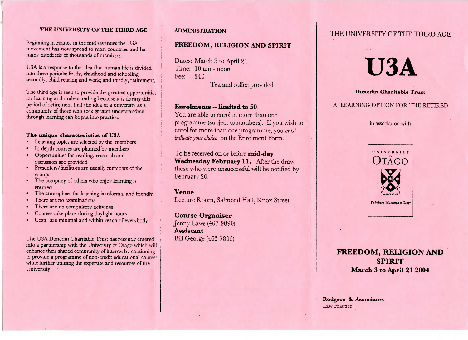#### **THE UNIVERSITY OF THE THIRD AGE**

beginning in France in the mid seventies the  $\cup$ 3A<br>movement has now spread to most countries and has n France in the mid seventies the USAmovement has now spread to most count

USA is a response to the idea that human life is dividedto three periods: nrstly, childhood and into three periods: firstly, childhoo d schooling; secondly, child rearing and work; and thirdly, retirement.

The third age is seen to provide the greatest opportunities for learning and understanding because it is during thisperiod of retirement that the idea of a university as a community of those who seek greater understandingthrough learning can be put into practice.

# **The unique characteristics of USA**

- Learning topics are selected by the members
- In depth courses are planned by members
- Opportunities for reading, research anddiscussion are provided
- discussion are provide Presenters/facilitors are usually members of the
- groups The company of others who enjoy learning isensured
- ensure The atmosphere for learning is informal and friendly
- There are no examinations
- There are no compulsory activities
- Courses take place during daylight hours
- Costs are minimal and within reach of everybody

The USA Dunedin Charitable Trust has recently entered nto a partnership with the University of Utago which will enhance their shared community of interest by continuing to provide a programme of non-credit educational courseswhile further utilising the expertise and resources of theUniversity.

#### **ADMINISTRATION**

# **FREEDOM, RELIGION AND SPIRIT**

Dates: March 3 to April 21 Time: 10 am - noon Fee: \$40Tea and coffee provided

#### **Enrolments — limited to 50**

 You are able to enrol in more than one programme (subject to numbers). If you wish to enrol for more than one programme, you *mustindicate your choice* on the Enrolment Form.

To be received on or before **mid-day Wednesday February 11.** After the draw those who were unsuccessful will be notified byFebruary 20.

#### **Venue**

Lecture Room, Salmond Hall, Knox Street

**Course Organiser** Jenny Laws (467 9890) **Assistant**Bill George (465 7806)

# THE UNIVERSITY OF THE THIRD AGE

# **USA**

#### **Dunedin Charitable Trust**

#### A LEARNING OPTION FOR THE RETIRED

in association with



# **FREEDOM, RELIGION ANDSPIRITMarch 3 to April 21 2004**

Rodgers & **Associates**Law Practice